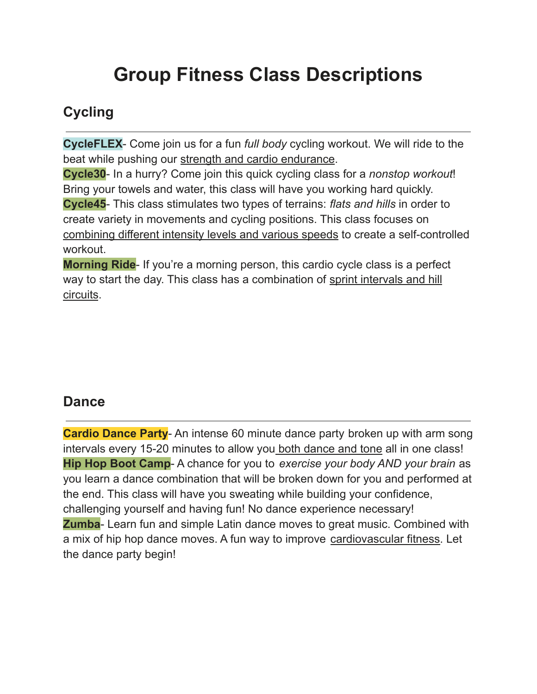# **Group Fitness Class Descriptions**

### **Cycling**

**CycleFLEX**- Come join us for a fun *full body* cycling workout. We will ride to the beat while pushing our strength and cardio endurance.

**Cycle30**- In a hurry? Come join this quick cycling class for a *nonstop workout*! Bring your towels and water, this class will have you working hard quickly. **Cycle45**- This class stimulates two types of terrains: *flats and hills* in order to create variety in movements and cycling positions. This class focuses on combining different intensity levels and various speeds to create a self-controlled workout.

**Morning Ride**- If you're a morning person, this cardio cycle class is a perfect way to start the day. This class has a combination of sprint intervals and hill circuits.

#### **Dance**

**Cardio Dance Party**- An intense 60 minute dance party broken up with arm song intervals every 15-20 minutes to allow you both dance and tone all in one class! **Hip Hop Boot Camp**- A chance for you to *exercise your body AND your brain* as you learn a dance combination that will be broken down for you and performed at the end. This class will have you sweating while building your confidence, challenging yourself and having fun! No dance experience necessary! **Zumba**- Learn fun and simple Latin dance moves to great music. Combined with a mix of hip hop dance moves. A fun way to improve cardiovascular fitness. Let the dance party begin!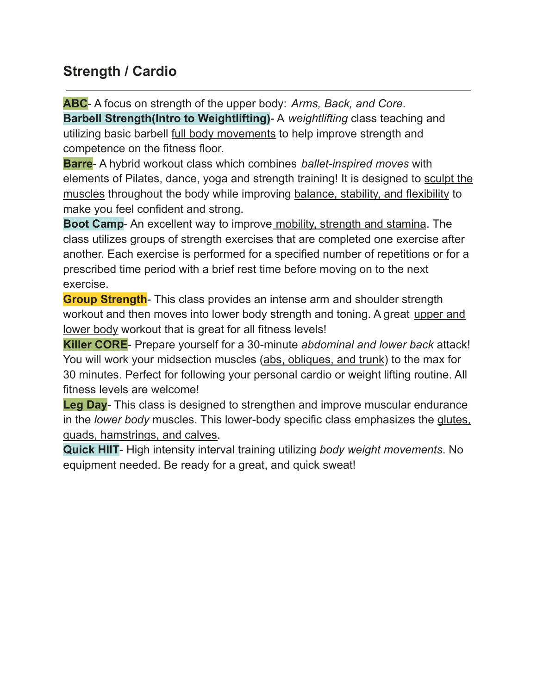#### **Strength / Cardio**

**ABC**- A focus on strength of the upper body: *Arms, Back, and Core*. **Barbell Strength(Intro to Weightlifting)**- A *weightlifting* class teaching and utilizing basic barbell full body movements to help improve strength and competence on the fitness floor.

**Barre**- A hybrid workout class which combines *ballet-inspired moves* with elements of Pilates, dance, yoga and strength training! It is designed to sculpt the muscles throughout the body while improving balance, stability, and flexibility to make you feel confident and strong.

**Boot Camp**- An excellent way to improve mobility, strength and stamina. The class utilizes groups of strength exercises that are completed one exercise after another. Each exercise is performed for a specified number of repetitions or for a prescribed time period with a brief rest time before moving on to the next exercise.

**Group Strength**- This class provides an intense arm and shoulder strength workout and then moves into lower body strength and toning. A great upper and lower body workout that is great for all fitness levels!

**Killer CORE**- Prepare yourself for a 30-minute *abdominal and lower back* attack! You will work your midsection muscles (abs, obliques, and trunk) to the max for 30 minutes. Perfect for following your personal cardio or weight lifting routine. All fitness levels are welcome!

**Leg Day**- This class is designed to strengthen and improve muscular endurance in the *lower body* muscles. This lower-body specific class emphasizes the glutes, quads, hamstrings, and calves.

**Quick HIIT**- High intensity interval training utilizing *body weight movements*. No equipment needed. Be ready for a great, and quick sweat!